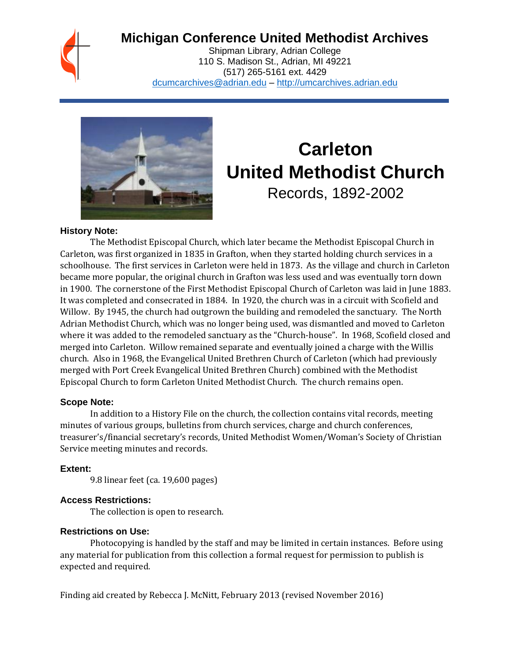# **Michigan Conference United Methodist Archives**

Shipman Library, Adrian College 110 S. Madison St., Adrian, MI 49221 (517) 265-5161 ext. 4429 [dcumcarchives@adrian.edu](mailto:dcumcarchives@adrian.edu) – [http://umcarchives.adrian.edu](http://umcarchives.adrian.edu/)



# **Carleton United Methodist Church** Records, 1892-2002

#### **History Note:**

The Methodist Episcopal Church, which later became the Methodist Episcopal Church in Carleton, was first organized in 1835 in Grafton, when they started holding church services in a schoolhouse. The first services in Carleton were held in 1873. As the village and church in Carleton became more popular, the original church in Grafton was less used and was eventually torn down in 1900. The cornerstone of the First Methodist Episcopal Church of Carleton was laid in June 1883. It was completed and consecrated in 1884. In 1920, the church was in a circuit with Scofield and Willow. By 1945, the church had outgrown the building and remodeled the sanctuary. The North Adrian Methodist Church, which was no longer being used, was dismantled and moved to Carleton where it was added to the remodeled sanctuary as the "Church-house". In 1968, Scofield closed and merged into Carleton. Willow remained separate and eventually joined a charge with the Willis church. Also in 1968, the Evangelical United Brethren Church of Carleton (which had previously merged with Port Creek Evangelical United Brethren Church) combined with the Methodist Episcopal Church to form Carleton United Methodist Church. The church remains open.

#### **Scope Note:**

In addition to a History File on the church, the collection contains vital records, meeting minutes of various groups, bulletins from church services, charge and church conferences, treasurer's/financial secretary's records, United Methodist Women/Woman's Society of Christian Service meeting minutes and records.

#### **Extent:**

9.8 linear feet (ca. 19,600 pages)

#### **Access Restrictions:**

The collection is open to research.

#### **Restrictions on Use:**

Photocopying is handled by the staff and may be limited in certain instances. Before using any material for publication from this collection a formal request for permission to publish is expected and required.

Finding aid created by Rebecca J. McNitt, February 2013 (revised November 2016)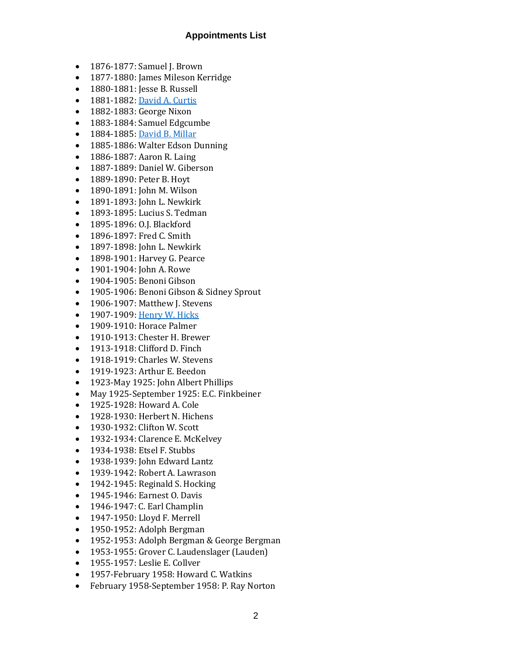#### **Appointments List**

- 1876-1877: Samuel J. Brown
- 1877-1880: James Mileson Kerridge
- 1880-1881: Jesse B. Russell
- 1881-1882[: David A. Curtis](http://umcarchives.adrian.edu/clergy/curtisda.php)
- 1882-1883: George Nixon
- 1883-1884: Samuel Edgcumbe
- 1884-1885[: David B. Millar](http://umcarchives.adrian.edu/clergy/millardb.php)
- 1885-1886: Walter Edson Dunning
- 1886-1887: Aaron R. Laing
- 1887-1889: Daniel W. Giberson
- 1889-1890: Peter B. Hoyt
- 1890-1891: John M. Wilson
- 1891-1893: John L. Newkirk
- 1893-1895: Lucius S. Tedman
- 1895-1896: O.J. Blackford
- 1896-1897: Fred C. Smith
- 1897-1898: John L. Newkirk
- 1898-1901: Harvey G. Pearce
- 1901-1904: John A. Rowe
- 1904-1905: Benoni Gibson
- 1905-1906: Benoni Gibson & Sidney Sprout
- 1906-1907: Matthew J. Stevens
- 1907-1909[: Henry W. Hicks](http://umcarchives.adrian.edu/fa/hickshwpapers.pdf)
- 1909-1910: Horace Palmer
- 1910-1913: Chester H. Brewer
- 1913-1918: Clifford D. Finch
- 1918-1919: Charles W. Stevens
- 1919-1923: Arthur E. Beedon
- 1923-May 1925: John Albert Phillips
- May 1925-September 1925: E.C. Finkbeiner
- 1925-1928: Howard A. Cole
- 1928-1930: Herbert N. Hichens
- 1930-1932: Clifton W. Scott
- 1932-1934: Clarence E. McKelvey
- 1934-1938: Etsel F. Stubbs
- 1938-1939: John Edward Lantz
- 1939-1942: Robert A. Lawrason
- 1942-1945: Reginald S. Hocking
- 1945-1946: Earnest O. Davis
- 1946-1947: C. Earl Champlin
- 1947-1950: Lloyd F. Merrell
- 1950-1952: Adolph Bergman
- 1952-1953: Adolph Bergman & George Bergman
- 1953-1955: Grover C. Laudenslager (Lauden)
- 1955-1957: Leslie E. Collver
- 1957-February 1958: Howard C. Watkins
- February 1958-September 1958: P. Ray Norton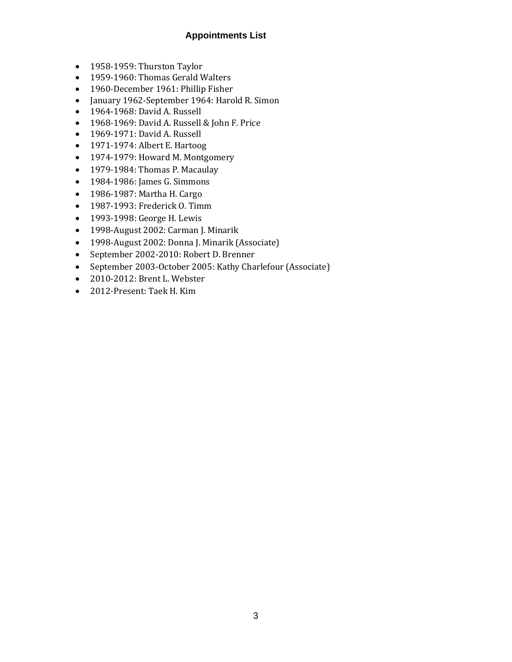#### **Appointments List**

- 1958-1959: Thurston Taylor
- 1959-1960: Thomas Gerald Walters
- 1960-December 1961: Phillip Fisher
- January 1962-September 1964: Harold R. Simon
- 1964-1968: David A. Russell
- 1968-1969: David A. Russell & John F. Price
- 1969-1971: David A. Russell
- 1971-1974: Albert E. Hartoog
- 1974-1979: Howard M. Montgomery
- 1979-1984: Thomas P. Macaulay
- 1984-1986: James G. Simmons
- 1986-1987: Martha H. Cargo
- 1987-1993: Frederick O. Timm
- 1993-1998: George H. Lewis
- 1998-August 2002: Carman J. Minarik
- 1998-August 2002: Donna J. Minarik (Associate)
- September 2002-2010: Robert D. Brenner
- September 2003-October 2005: Kathy Charlefour (Associate)
- 2010-2012: Brent L. Webster
- 2012-Present: Taek H. Kim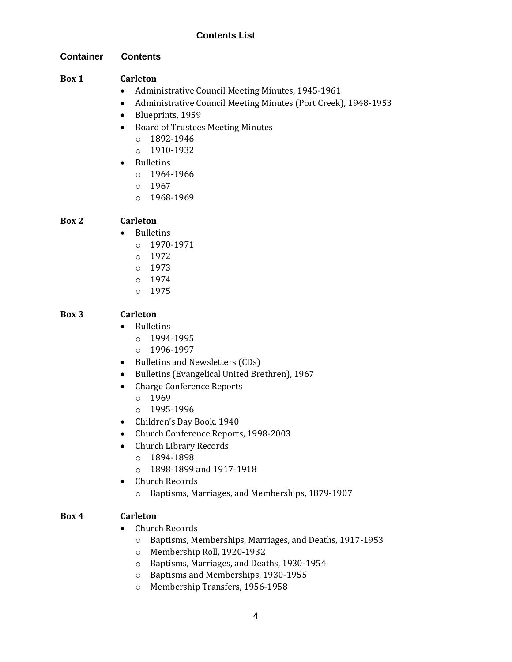#### **Container Contents**

#### **Box 1 Carleton**

- Administrative Council Meeting Minutes, 1945-1961
- Administrative Council Meeting Minutes (Port Creek), 1948-1953
- Blueprints, 1959
- Board of Trustees Meeting Minutes
	- o 1892-1946
	- o 1910-1932
- Bulletins
	- o 1964-1966
	- o 1967
	- o 1968-1969

#### **Box 2 Carleton**

• Bulletins

- o 1970-1971
- o 1972
- o 1973
- o 1974
- o 1975

#### **Box 3 Carleton**

- Bulletins
	- $o$  1994-1995
	- o 1996-1997
- Bulletins and Newsletters (CDs)
- Bulletins (Evangelical United Brethren), 1967
- Charge Conference Reports
	- o 1969
	- o 1995-1996
- Children's Day Book, 1940
- Church Conference Reports, 1998-2003
- Church Library Records
	- o 1894-1898
	- o 1898-1899 and 1917-1918
- Church Records
	- o Baptisms, Marriages, and Memberships, 1879-1907

#### **Box 4 Carleton**

- Church Records
	- o Baptisms, Memberships, Marriages, and Deaths, 1917-1953
	- o Membership Roll, 1920-1932
	- o Baptisms, Marriages, and Deaths, 1930-1954
	- o Baptisms and Memberships, 1930-1955
	- o Membership Transfers, 1956-1958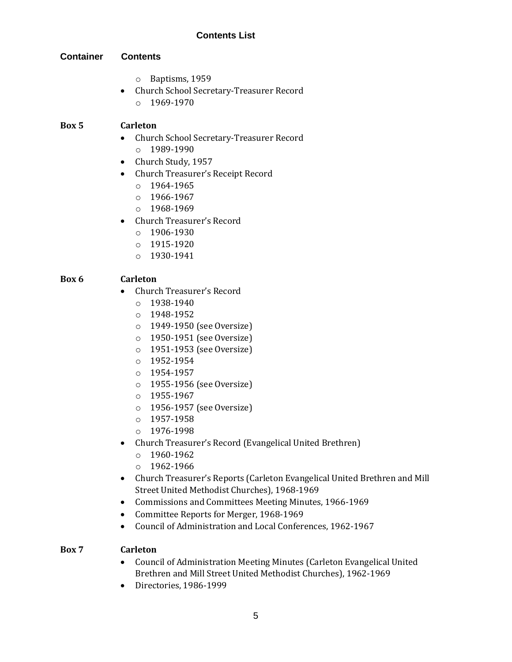#### **Container Contents**

- o Baptisms, 1959
- Church School Secretary-Treasurer Record  $O$  1969-1970

#### **Box 5 Carleton**

- Church School Secretary-Treasurer Record o 1989-1990
- Church Study, 1957
- Church Treasurer's Receipt Record
	- o 1964-1965
	- o 1966-1967
	- o 1968-1969
- Church Treasurer's Record
	- o 1906-1930
	- o 1915-1920
	- o 1930-1941

#### **Box 6 Carleton**

- Church Treasurer's Record
	- o 1938-1940
	- o 1948-1952
	- o 1949-1950 (see Oversize)
	- o 1950-1951 (see Oversize)
	- o 1951-1953 (see Oversize)
	- o 1952-1954
	- o 1954-1957
	- o 1955-1956 (see Oversize)
	- o 1955-1967
	- o 1956-1957 (see Oversize)
	- o 1957-1958
	- o 1976-1998
- Church Treasurer's Record (Evangelical United Brethren)
	- o 1960-1962
	- o 1962-1966
- Church Treasurer's Reports (Carleton Evangelical United Brethren and Mill Street United Methodist Churches), 1968-1969
- Commissions and Committees Meeting Minutes, 1966-1969
- Committee Reports for Merger, 1968-1969
- Council of Administration and Local Conferences, 1962-1967

#### **Box 7 Carleton**

- Council of Administration Meeting Minutes (Carleton Evangelical United Brethren and Mill Street United Methodist Churches), 1962-1969
- Directories, 1986-1999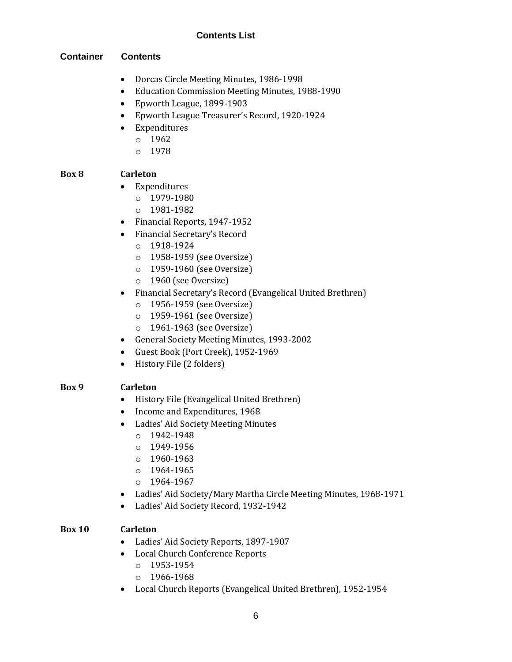#### **Container Contents**

- Dorcas Circle Meeting Minutes, 1986-1998
- Education Commission Meeting Minutes, 1988-1990
- Epworth League, 1899-1903
- Epworth League Treasurer's Record, 1920-1924
- Expenditures
	- o 1962
	- o 1978

#### **Box 8 Carleton**

- Expenditures
	- o 1979-1980
	- o 1981-1982
- Financial Reports, 1947-1952
- Financial Secretary's Record
	- o 1918-1924
	- o 1958-1959 (see Oversize)
	- o 1959-1960 (see Oversize)
	- o 1960 (see Oversize)
- Financial Secretary's Record (Evangelical United Brethren)
	- o 1956-1959 (see Oversize)
	- o 1959-1961 (see Oversize)
	- o 1961-1963 (see Oversize)
- General Society Meeting Minutes, 1993-2002
- Guest Book (Port Creek), 1952-1969
- History File (2 folders)

#### **Box 9 Carleton**

- History File (Evangelical United Brethren)
- Income and Expenditures, 1968
- Ladies' Aid Society Meeting Minutes
	- $O$  1942-1948
	- o 1949-1956
	- o 1960-1963
	- o 1964-1965
	- o 1964-1967
- Ladies' Aid Society/Mary Martha Circle Meeting Minutes, 1968-1971
- Ladies' Aid Society Record, 1932-1942

#### **Box 10 Carleton**

- Ladies' Aid Society Reports, 1897-1907
- Local Church Conference Reports
	- o 1953-1954
	- o 1966-1968
- Local Church Reports (Evangelical United Brethren), 1952-1954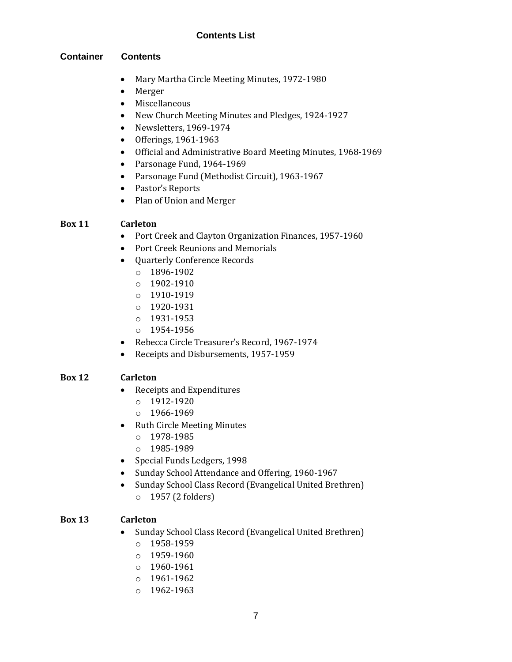#### **Container Contents**

- Mary Martha Circle Meeting Minutes, 1972-1980
- Merger
- Miscellaneous
- New Church Meeting Minutes and Pledges, 1924-1927
- Newsletters, 1969-1974
- Offerings, 1961-1963
- Official and Administrative Board Meeting Minutes, 1968-1969
- Parsonage Fund, 1964-1969
- Parsonage Fund (Methodist Circuit), 1963-1967
- Pastor's Reports
- Plan of Union and Merger

#### **Box 11 Carleton**

- Port Creek and Clayton Organization Finances, 1957-1960
- Port Creek Reunions and Memorials
- Quarterly Conference Records
	- o 1896-1902
	- o 1902-1910
	- o 1910-1919
	- o 1920-1931
	- o 1931-1953
	- o 1954-1956
- Rebecca Circle Treasurer's Record, 1967-1974
- Receipts and Disbursements, 1957-1959

#### **Box 12 Carleton**

- Receipts and Expenditures
	- o 1912-1920
	- o 1966-1969
- Ruth Circle Meeting Minutes
	- o 1978-1985
	- o 1985-1989
- Special Funds Ledgers, 1998
- Sunday School Attendance and Offering, 1960-1967
- Sunday School Class Record (Evangelical United Brethren) o 1957 (2 folders)

## **Box 13 Carleton**

- Sunday School Class Record (Evangelical United Brethren)
	- o 1958-1959
	- o 1959-1960
	- o 1960-1961
	- o 1961-1962
	- o 1962-1963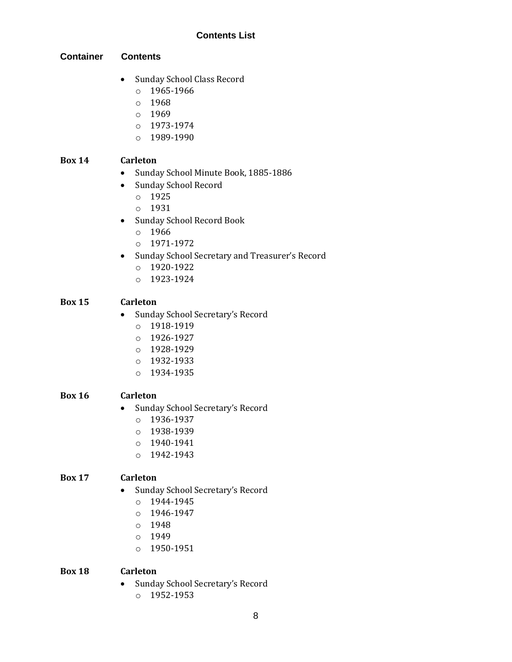#### **Container Contents**

- Sunday School Class Record
	- o 1965-1966
	- $0.1968$
	- o 1969
	- $O$  1973-1974
	- o 1989-1990

#### **Box 14 Carleton**

- Sunday School Minute Book, 1885-1886
- Sunday School Record
	- o 1925
	- o 1931
- Sunday School Record Book
	- o 1966
	- o 1971-1972
- Sunday School Secretary and Treasurer's Record
	- o 1920-1922
	- o 1923-1924

#### **Box 15 Carleton**

- Sunday School Secretary's Record
	- o 1918-1919
	- o 1926-1927
	- o 1928-1929
	- o 1932-1933
	- o 1934-1935

#### **Box 16 Carleton**

- Sunday School Secretary's Record
	- $o$  1936-1937
	- o 1938-1939
	- o 1940-1941
	- o 1942-1943

#### **Box 17 Carleton**

- Sunday School Secretary's Record
	- o 1944-1945
	- o 1946-1947
	- o 1948
	- o 1949
	- o 1950-1951

#### **Box 18 Carleton**

- Sunday School Secretary's Record
	- o 1952-1953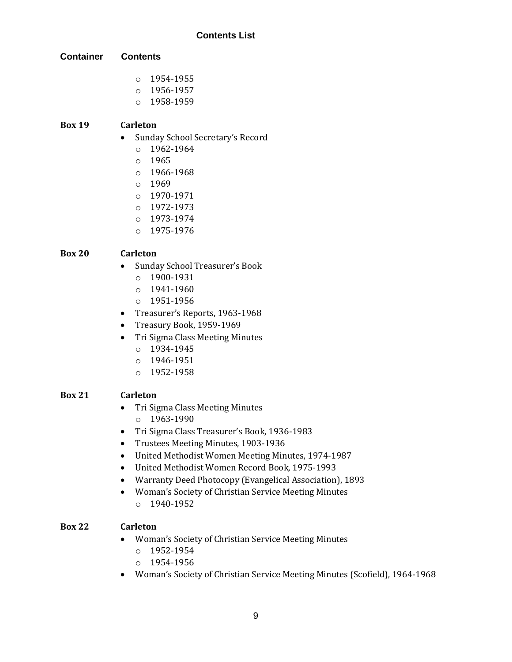**Container Contents**

- o 1954-1955
- o 1956-1957
- o 1958-1959

#### **Box 19 Carleton**

- Sunday School Secretary's Record
	- o 1962-1964
	- o 1965
	- o 1966-1968
	- $0.1969$
	- o 1970-1971
	- o 1972-1973
	- o 1973-1974
	- o 1975-1976

### **Box 20 Carleton**

- Sunday School Treasurer's Book
	- o 1900-1931
	- o 1941-1960
	- o 1951-1956
- Treasurer's Reports, 1963-1968
- Treasury Book, 1959-1969
- Tri Sigma Class Meeting Minutes
	- o 1934-1945
	- o 1946-1951
	- o 1952-1958

#### **Box 21 Carleton**

- Tri Sigma Class Meeting Minutes
	- o 1963-1990
- Tri Sigma Class Treasurer's Book, 1936-1983
- Trustees Meeting Minutes, 1903-1936
- United Methodist Women Meeting Minutes, 1974-1987
- United Methodist Women Record Book, 1975-1993
- Warranty Deed Photocopy (Evangelical Association), 1893
- Woman's Society of Christian Service Meeting Minutes
	- $O$  1940-1952

#### **Box 22 Carleton**

- Woman's Society of Christian Service Meeting Minutes
	- o 1952-1954
	- o 1954-1956
- Woman's Society of Christian Service Meeting Minutes (Scofield), 1964-1968